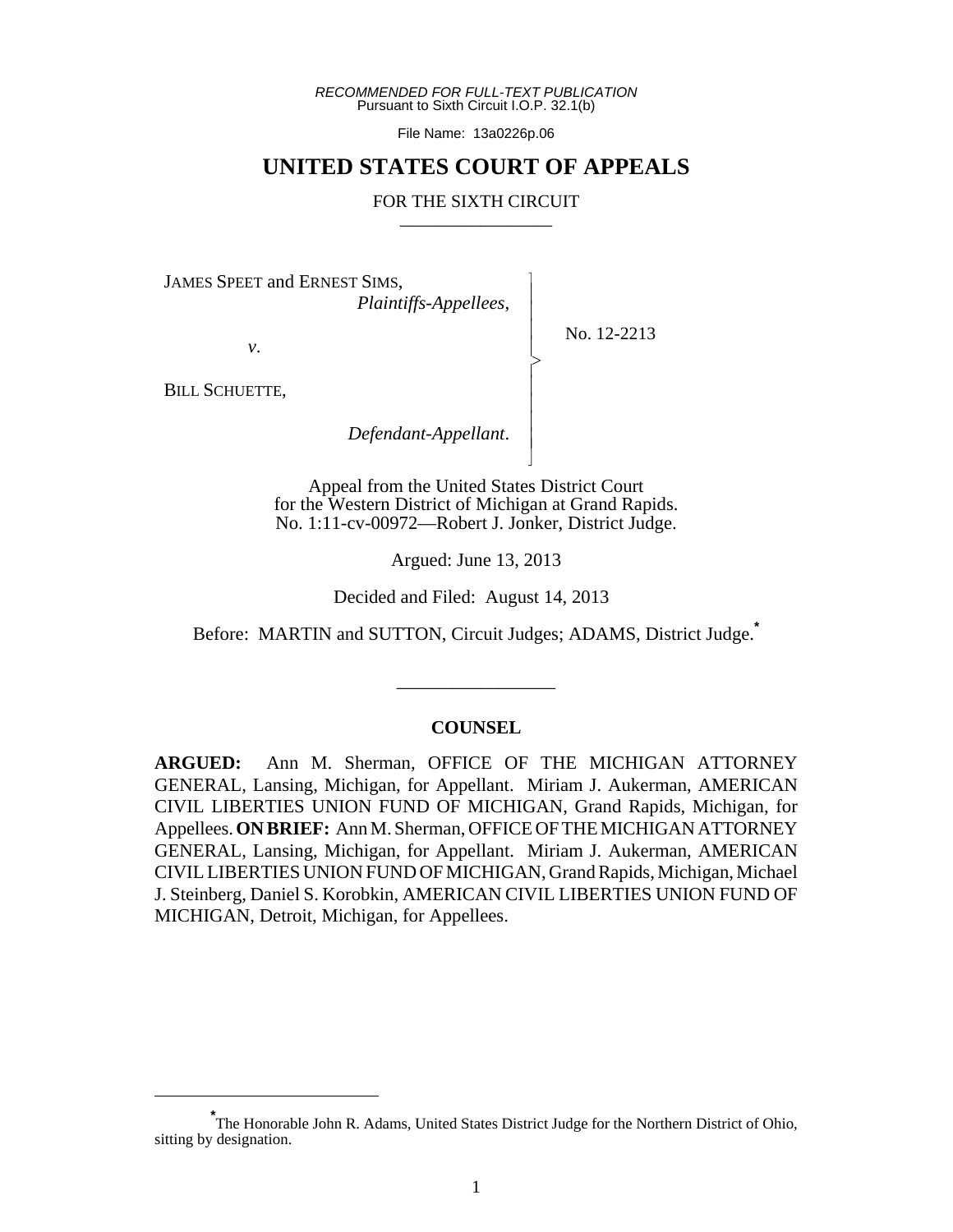*RECOMMENDED FOR FULL-TEXT PUBLICATION* Pursuant to Sixth Circuit I.O.P. 32.1(b)

File Name: 13a0226p.06

## **UNITED STATES COURT OF APPEALS**

## FOR THE SIXTH CIRCUIT

 $\overline{\phantom{a}}$ - - - > , - - - - N

JAMES SPEET and ERNEST SIMS,

*Plaintiffs-Appellees*,

No. 12-2213

BILL SCHUETTE,

*v*.

*Defendant-Appellant*.

Appeal from the United States District Court for the Western District of Michigan at Grand Rapids. No. 1:11-cv-00972—Robert J. Jonker, District Judge.

Argued: June 13, 2013

Decided and Filed: August 14, 2013

Before: MARTIN and SUTTON, Circuit Judges; ADAMS, District Judge.**\***

\_\_\_\_\_\_\_\_\_\_\_\_\_\_\_\_\_

## **COUNSEL**

**ARGUED:** Ann M. Sherman, OFFICE OF THE MICHIGAN ATTORNEY GENERAL, Lansing, Michigan, for Appellant. Miriam J. Aukerman, AMERICAN CIVIL LIBERTIES UNION FUND OF MICHIGAN, Grand Rapids, Michigan, for Appellees. **ON BRIEF:** Ann M. Sherman, OFFICE OF THE MICHIGAN ATTORNEY GENERAL, Lansing, Michigan, for Appellant. Miriam J. Aukerman, AMERICAN CIVIL LIBERTIES UNION FUND OF MICHIGAN, Grand Rapids, Michigan, Michael J. Steinberg, Daniel S. Korobkin, AMERICAN CIVIL LIBERTIES UNION FUND OF MICHIGAN, Detroit, Michigan, for Appellees.

**<sup>\*</sup>** The Honorable John R. Adams, United States District Judge for the Northern District of Ohio, sitting by designation.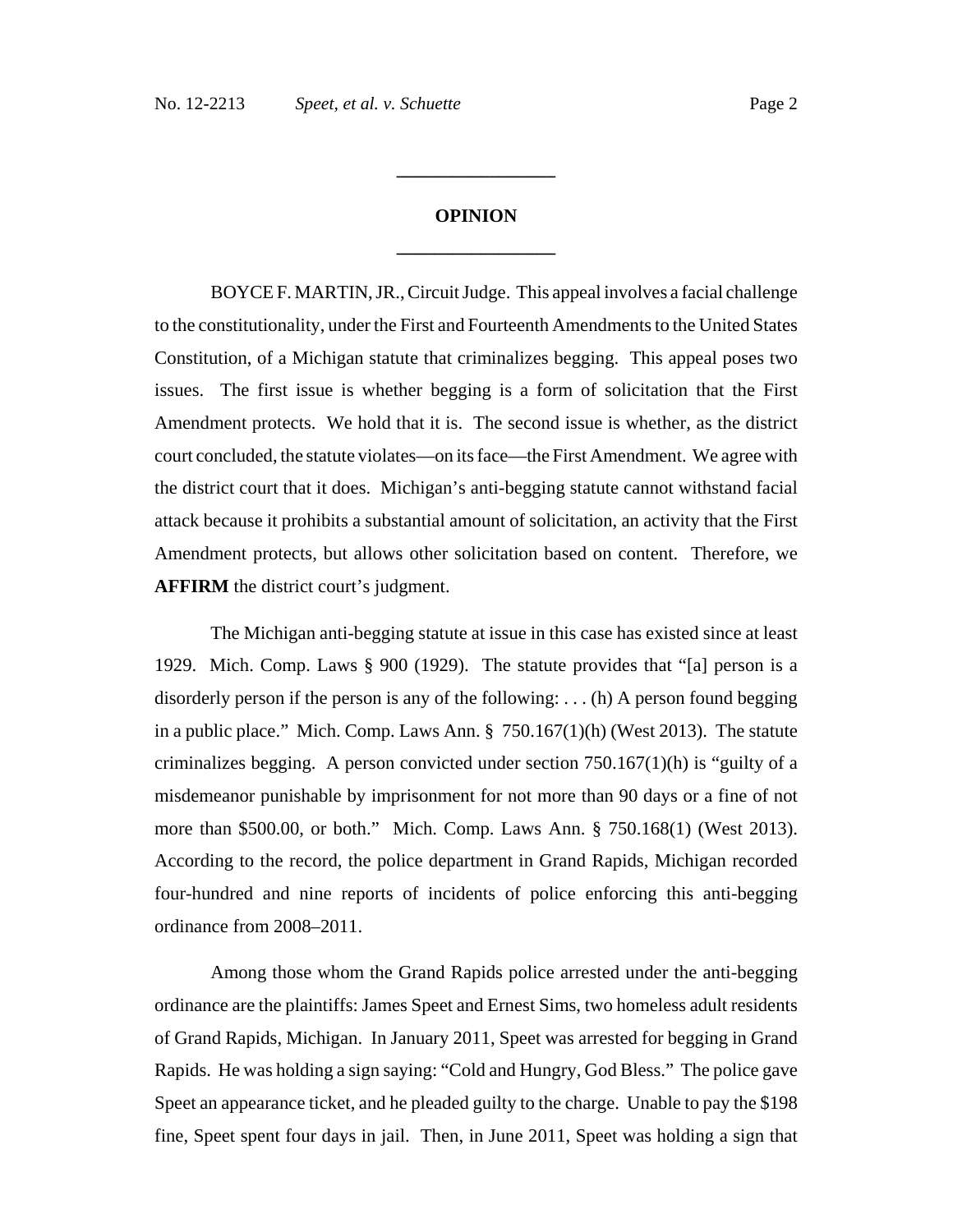## **OPINION \_\_\_\_\_\_\_\_\_\_\_\_\_\_\_\_\_**

**\_\_\_\_\_\_\_\_\_\_\_\_\_\_\_\_\_**

BOYCE F. MARTIN, JR., Circuit Judge. This appeal involves a facial challenge to the constitutionality, under the First and Fourteenth Amendments to the United States Constitution, of a Michigan statute that criminalizes begging. This appeal poses two issues. The first issue is whether begging is a form of solicitation that the First Amendment protects. We hold that it is. The second issue is whether, as the district court concluded, the statute violates—on its face—the First Amendment. We agree with the district court that it does. Michigan's anti-begging statute cannot withstand facial attack because it prohibits a substantial amount of solicitation, an activity that the First Amendment protects, but allows other solicitation based on content. Therefore, we **AFFIRM** the district court's judgment.

The Michigan anti-begging statute at issue in this case has existed since at least 1929. Mich. Comp. Laws § 900 (1929). The statute provides that "[a] person is a disorderly person if the person is any of the following: . . . (h) A person found begging in a public place." Mich. Comp. Laws Ann.  $\S$  750.167(1)(h) (West 2013). The statute criminalizes begging. A person convicted under section  $750.167(1)(h)$  is "guilty of a misdemeanor punishable by imprisonment for not more than 90 days or a fine of not more than \$500.00, or both." Mich. Comp. Laws Ann. § 750.168(1) (West 2013). According to the record, the police department in Grand Rapids, Michigan recorded four-hundred and nine reports of incidents of police enforcing this anti-begging ordinance from 2008–2011.

Among those whom the Grand Rapids police arrested under the anti-begging ordinance are the plaintiffs: James Speet and Ernest Sims, two homeless adult residents of Grand Rapids, Michigan. In January 2011, Speet was arrested for begging in Grand Rapids. He was holding a sign saying: "Cold and Hungry, God Bless." The police gave Speet an appearance ticket, and he pleaded guilty to the charge. Unable to pay the \$198 fine, Speet spent four days in jail. Then, in June 2011, Speet was holding a sign that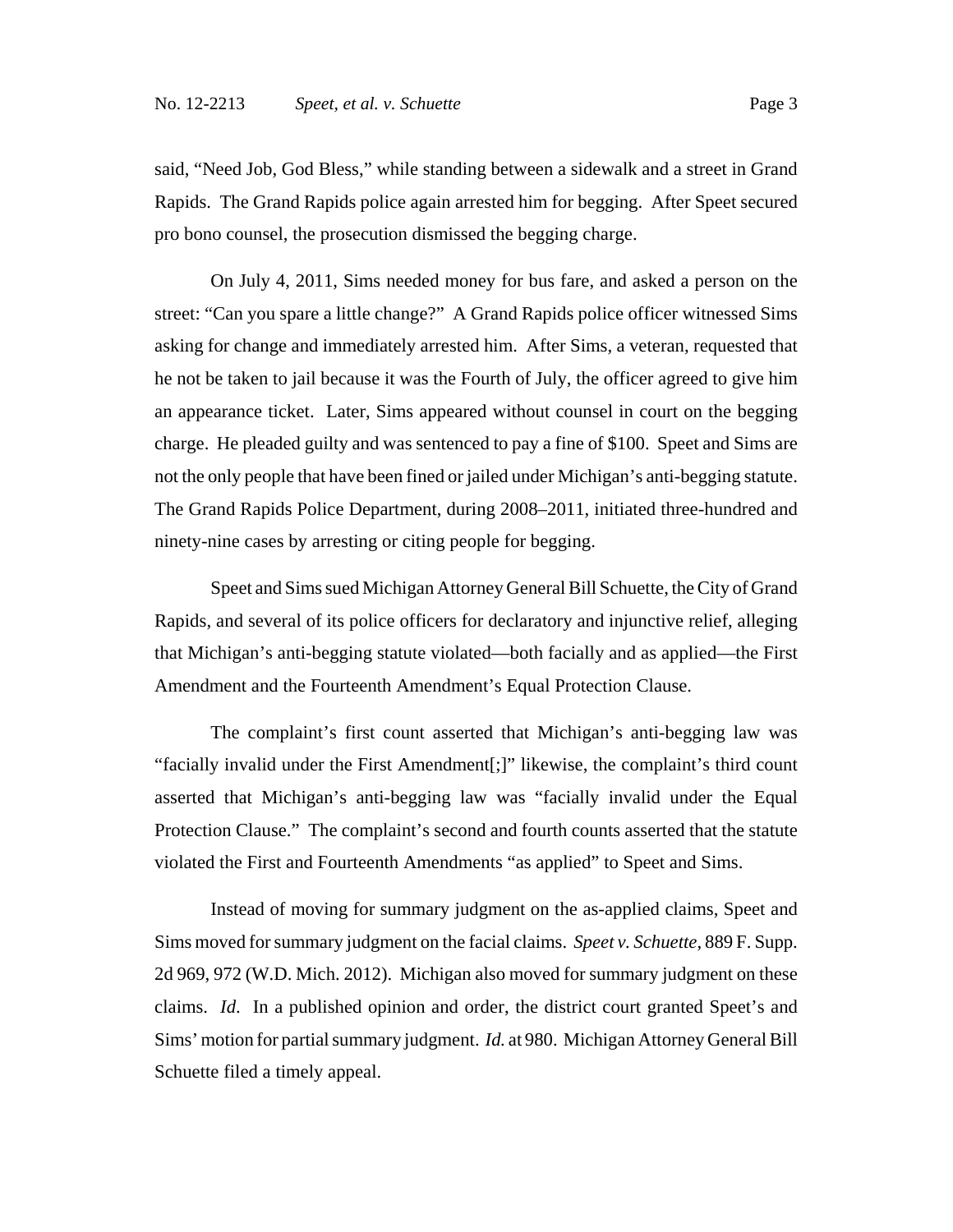said, "Need Job, God Bless," while standing between a sidewalk and a street in Grand Rapids. The Grand Rapids police again arrested him for begging. After Speet secured pro bono counsel, the prosecution dismissed the begging charge.

On July 4, 2011, Sims needed money for bus fare, and asked a person on the street: "Can you spare a little change?" A Grand Rapids police officer witnessed Sims asking for change and immediately arrested him. After Sims, a veteran, requested that he not be taken to jail because it was the Fourth of July, the officer agreed to give him an appearance ticket. Later, Sims appeared without counsel in court on the begging charge. He pleaded guilty and was sentenced to pay a fine of \$100. Speet and Sims are not the only people that have been fined or jailed under Michigan's anti-begging statute. The Grand Rapids Police Department, during 2008–2011, initiated three-hundred and ninety-nine cases by arresting or citing people for begging.

Speet and Sims sued Michigan Attorney General Bill Schuette, the City of Grand Rapids, and several of its police officers for declaratory and injunctive relief, alleging that Michigan's anti-begging statute violated—both facially and as applied—the First Amendment and the Fourteenth Amendment's Equal Protection Clause.

The complaint's first count asserted that Michigan's anti-begging law was "facially invalid under the First Amendment[;]" likewise, the complaint's third count asserted that Michigan's anti-begging law was "facially invalid under the Equal Protection Clause." The complaint's second and fourth counts asserted that the statute violated the First and Fourteenth Amendments "as applied" to Speet and Sims.

Instead of moving for summary judgment on the as-applied claims, Speet and Sims moved for summary judgment on the facial claims. *Speet v. Schuette*, 889 F. Supp. 2d 969, 972 (W.D. Mich. 2012). Michigan also moved for summary judgment on these claims. *Id*. In a published opinion and order, the district court granted Speet's and Sims' motion for partial summary judgment. *Id.* at 980. Michigan Attorney General Bill Schuette filed a timely appeal.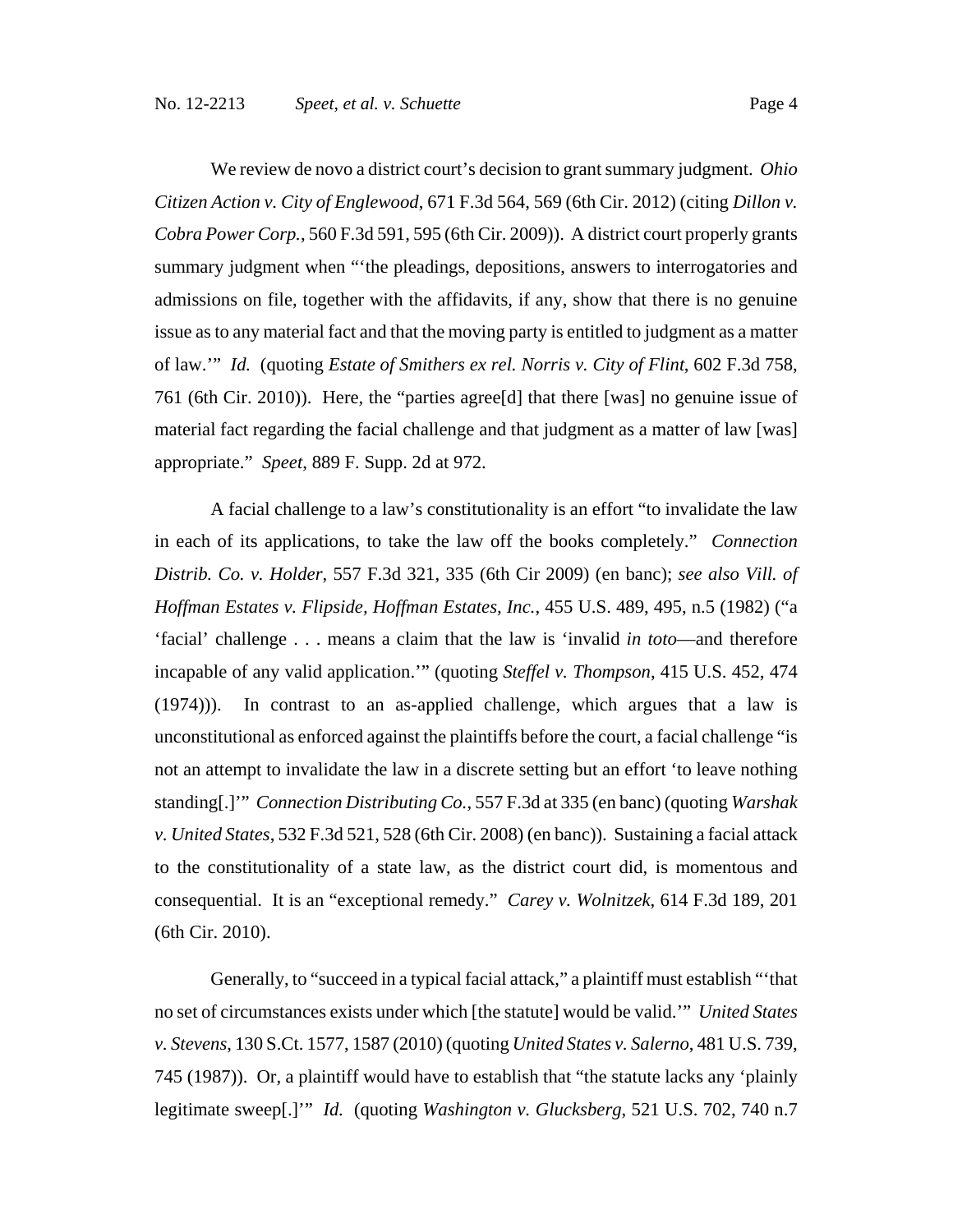appropriate." *Speet*, 889 F. Supp. 2d at 972.

We review de novo a district court's decision to grant summary judgment. *Ohio Citizen Action v. City of Englewood*, 671 F.3d 564, 569 (6th Cir. 2012) (citing *Dillon v. Cobra Power Corp.*, 560 F.3d 591, 595 (6th Cir. 2009)). A district court properly grants summary judgment when "'the pleadings, depositions, answers to interrogatories and admissions on file, together with the affidavits, if any, show that there is no genuine issue as to any material fact and that the moving party is entitled to judgment as a matter of law.'" *Id.* (quoting *Estate of Smithers ex rel. Norris v. City of Flint*, 602 F.3d 758, 761 (6th Cir. 2010)). Here, the "parties agree[d] that there [was] no genuine issue of material fact regarding the facial challenge and that judgment as a matter of law [was]

A facial challenge to a law's constitutionality is an effort "to invalidate the law in each of its applications, to take the law off the books completely." *Connection Distrib. Co. v. Holder*, 557 F.3d 321, 335 (6th Cir 2009) (en banc); *see also Vill. of Hoffman Estates v. Flipside, Hoffman Estates, Inc.*, 455 U.S. 489, 495, n.5 (1982) ("a 'facial' challenge . . . means a claim that the law is 'invalid *in toto*—and therefore incapable of any valid application.'" (quoting *Steffel v. Thompson*, 415 U.S. 452, 474 (1974))). In contrast to an as-applied challenge, which argues that a law is unconstitutional as enforced against the plaintiffs before the court, a facial challenge "is not an attempt to invalidate the law in a discrete setting but an effort 'to leave nothing standing[.]'" *Connection Distributing Co.*, 557 F.3d at 335 (en banc) (quoting *Warshak v. United States*, 532 F.3d 521, 528 (6th Cir. 2008) (en banc)). Sustaining a facial attack to the constitutionality of a state law, as the district court did, is momentous and consequential. It is an "exceptional remedy." *Carey v. Wolnitzek*, 614 F.3d 189, 201 (6th Cir. 2010).

Generally, to "succeed in a typical facial attack," a plaintiff must establish "'that no set of circumstances exists under which [the statute] would be valid.'" *United States v. Stevens*, 130 S.Ct. 1577, 1587 (2010) (quoting *United States v. Salerno*, 481 U.S. 739, 745 (1987)). Or, a plaintiff would have to establish that "the statute lacks any 'plainly legitimate sweep[.]'" *Id.* (quoting *Washington v. Glucksberg*, 521 U.S. 702, 740 n.7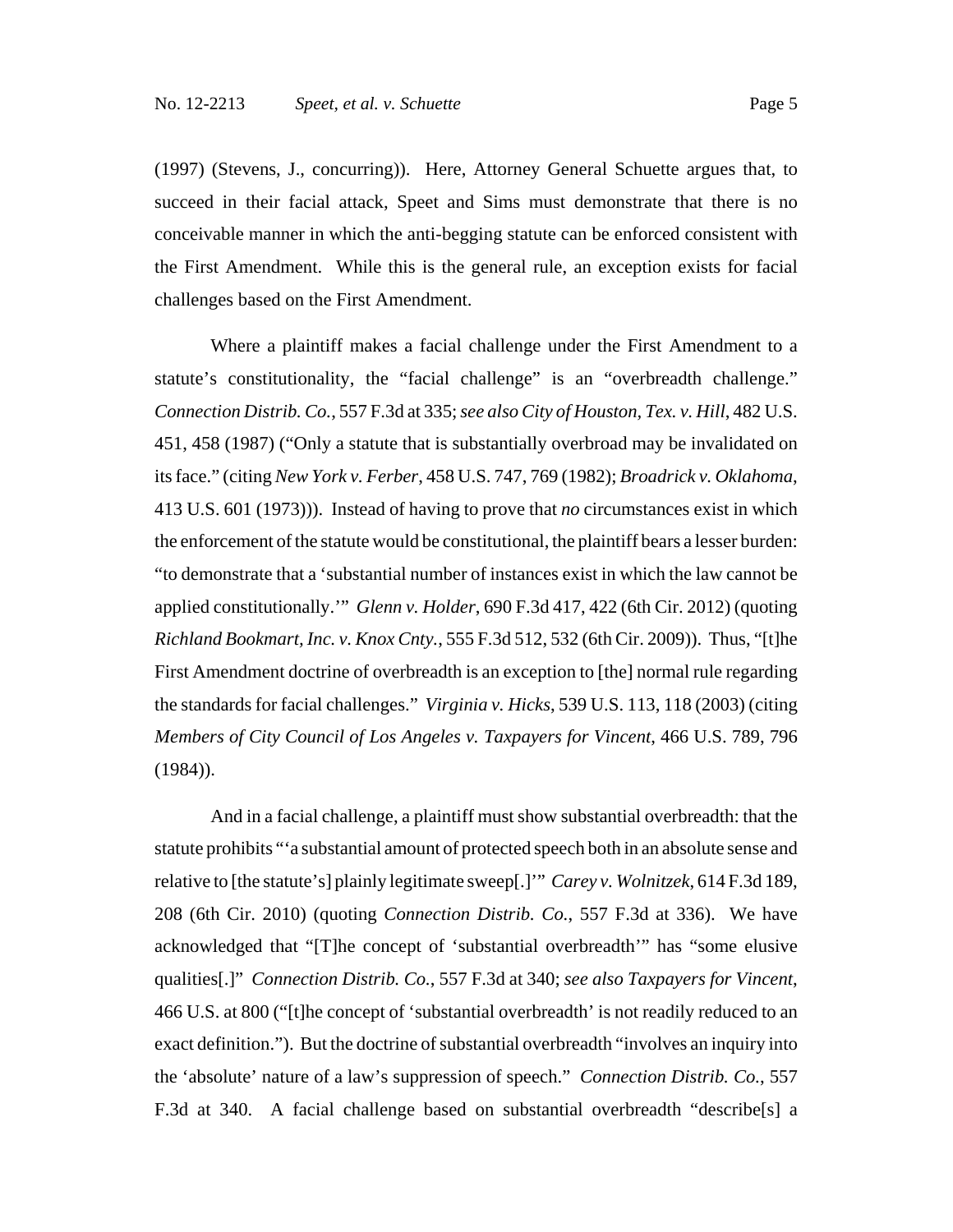(1997) (Stevens, J., concurring)). Here, Attorney General Schuette argues that, to succeed in their facial attack, Speet and Sims must demonstrate that there is no conceivable manner in which the anti-begging statute can be enforced consistent with the First Amendment. While this is the general rule, an exception exists for facial challenges based on the First Amendment.

Where a plaintiff makes a facial challenge under the First Amendment to a statute's constitutionality, the "facial challenge" is an "overbreadth challenge." *Connection Distrib. Co.*, 557 F.3d at 335; *see also City of Houston, Tex. v. Hill*, 482 U.S. 451, 458 (1987) ("Only a statute that is substantially overbroad may be invalidated on its face." (citing *New York v. Ferber*, 458 U.S. 747, 769 (1982); *Broadrick v. Oklahoma*, 413 U.S. 601 (1973))). Instead of having to prove that *no* circumstances exist in which the enforcement of the statute would be constitutional, the plaintiff bears a lesser burden: "to demonstrate that a 'substantial number of instances exist in which the law cannot be applied constitutionally.'" *Glenn v. Holder*, 690 F.3d 417, 422 (6th Cir. 2012) (quoting *Richland Bookmart, Inc. v. Knox Cnty.*, 555 F.3d 512, 532 (6th Cir. 2009)). Thus, "[t]he First Amendment doctrine of overbreadth is an exception to [the] normal rule regarding the standards for facial challenges." *Virginia v. Hicks*, 539 U.S. 113, 118 (2003) (citing *Members of City Council of Los Angeles v. Taxpayers for Vincent*, 466 U.S. 789, 796 (1984)).

And in a facial challenge, a plaintiff must show substantial overbreadth: that the statute prohibits "'a substantial amount of protected speech both in an absolute sense and relative to [the statute's] plainly legitimate sweep[.]'" *Carey v. Wolnitzek*, 614 F.3d 189, 208 (6th Cir. 2010) (quoting *Connection Distrib. Co.*, 557 F.3d at 336). We have acknowledged that "[T]he concept of 'substantial overbreadth'" has "some elusive qualities[.]" *Connection Distrib. Co.*, 557 F.3d at 340; *see also Taxpayers for Vincent*, 466 U.S. at 800 ("[t]he concept of 'substantial overbreadth' is not readily reduced to an exact definition."). But the doctrine of substantial overbreadth "involves an inquiry into the 'absolute' nature of a law's suppression of speech." *Connection Distrib. Co.*, 557 F.3d at 340. A facial challenge based on substantial overbreadth "describe[s] a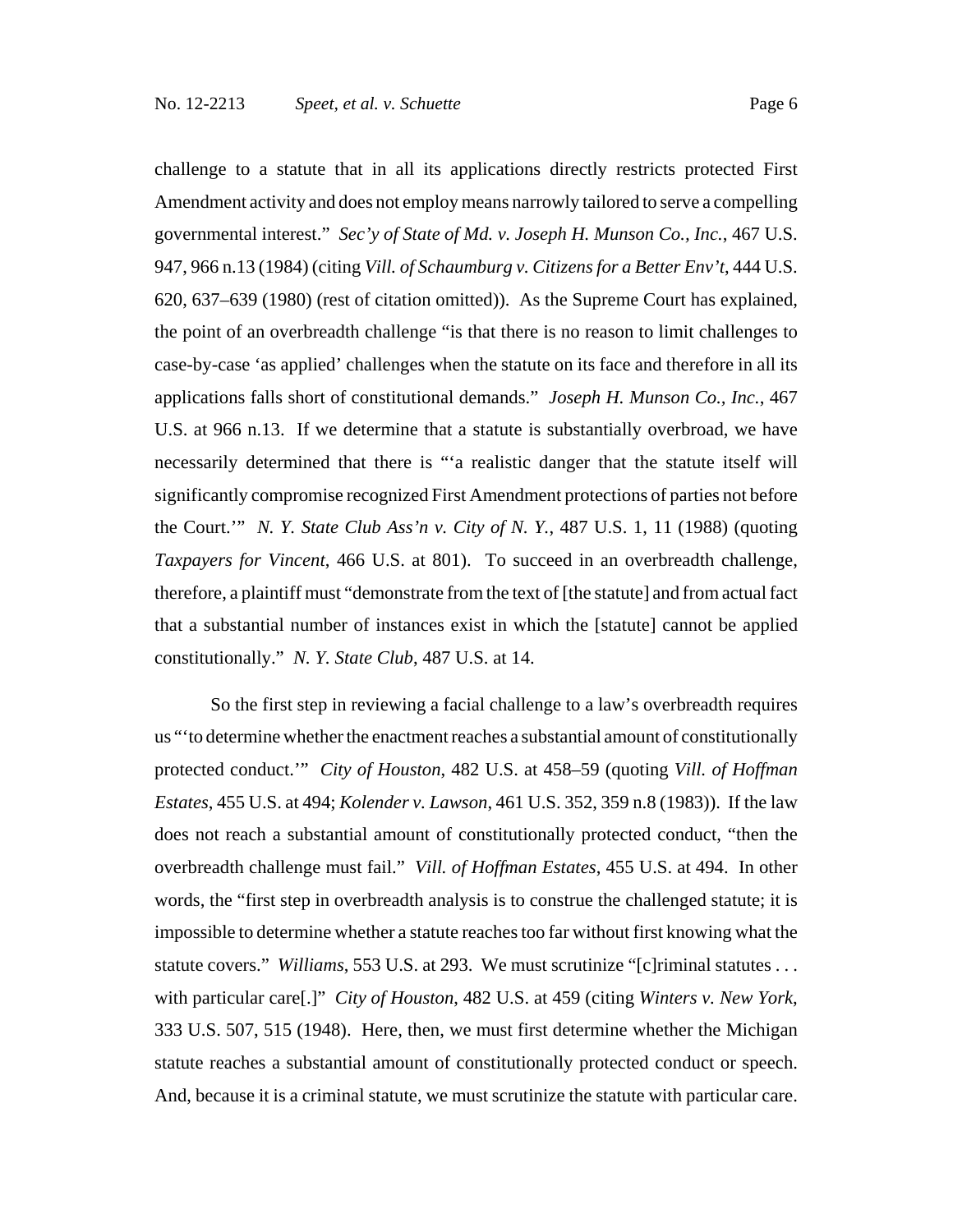challenge to a statute that in all its applications directly restricts protected First Amendment activity and does not employ means narrowly tailored to serve a compelling governmental interest." *Sec'y of State of Md. v. Joseph H. Munson Co., Inc.*, 467 U.S. 947, 966 n.13 (1984) (citing *Vill. of Schaumburg v. Citizens for a Better Env't*, 444 U.S. 620, 637–639 (1980) (rest of citation omitted)). As the Supreme Court has explained, the point of an overbreadth challenge "is that there is no reason to limit challenges to case-by-case 'as applied' challenges when the statute on its face and therefore in all its applications falls short of constitutional demands." *Joseph H. Munson Co., Inc.*, 467 U.S. at 966 n.13.If we determine that a statute is substantially overbroad, we have necessarily determined that there is "'a realistic danger that the statute itself will significantly compromise recognized First Amendment protections of parties not before the Court.'" *N. Y. State Club Ass'n v. City of N. Y.*, 487 U.S. 1, 11 (1988) (quoting *Taxpayers for Vincent*, 466 U.S. at 801). To succeed in an overbreadth challenge, therefore, a plaintiff must "demonstrate from the text of [the statute] and from actual fact that a substantial number of instances exist in which the [statute] cannot be applied constitutionally." *N. Y. State Club*, 487 U.S. at 14.

So the first step in reviewing a facial challenge to a law's overbreadth requires us "'to determine whether the enactment reaches a substantial amount of constitutionally protected conduct.'" *City of Houston*, 482 U.S. at 458–59 (quoting *Vill. of Hoffman Estates*, 455 U.S. at 494; *Kolender v. Lawson*, 461 U.S. 352, 359 n.8 (1983)). If the law does not reach a substantial amount of constitutionally protected conduct, "then the overbreadth challenge must fail." *Vill. of Hoffman Estates*, 455 U.S. at 494. In other words, the "first step in overbreadth analysis is to construe the challenged statute; it is impossible to determine whether a statute reaches too far without first knowing what the statute covers." *Williams*, 553 U.S. at 293. We must scrutinize "[c]riminal statutes . . . with particular care[.]" *City of Houston*, 482 U.S. at 459 (citing *Winters v. New York*, 333 U.S. 507, 515 (1948). Here, then, we must first determine whether the Michigan statute reaches a substantial amount of constitutionally protected conduct or speech. And, because it is a criminal statute, we must scrutinize the statute with particular care.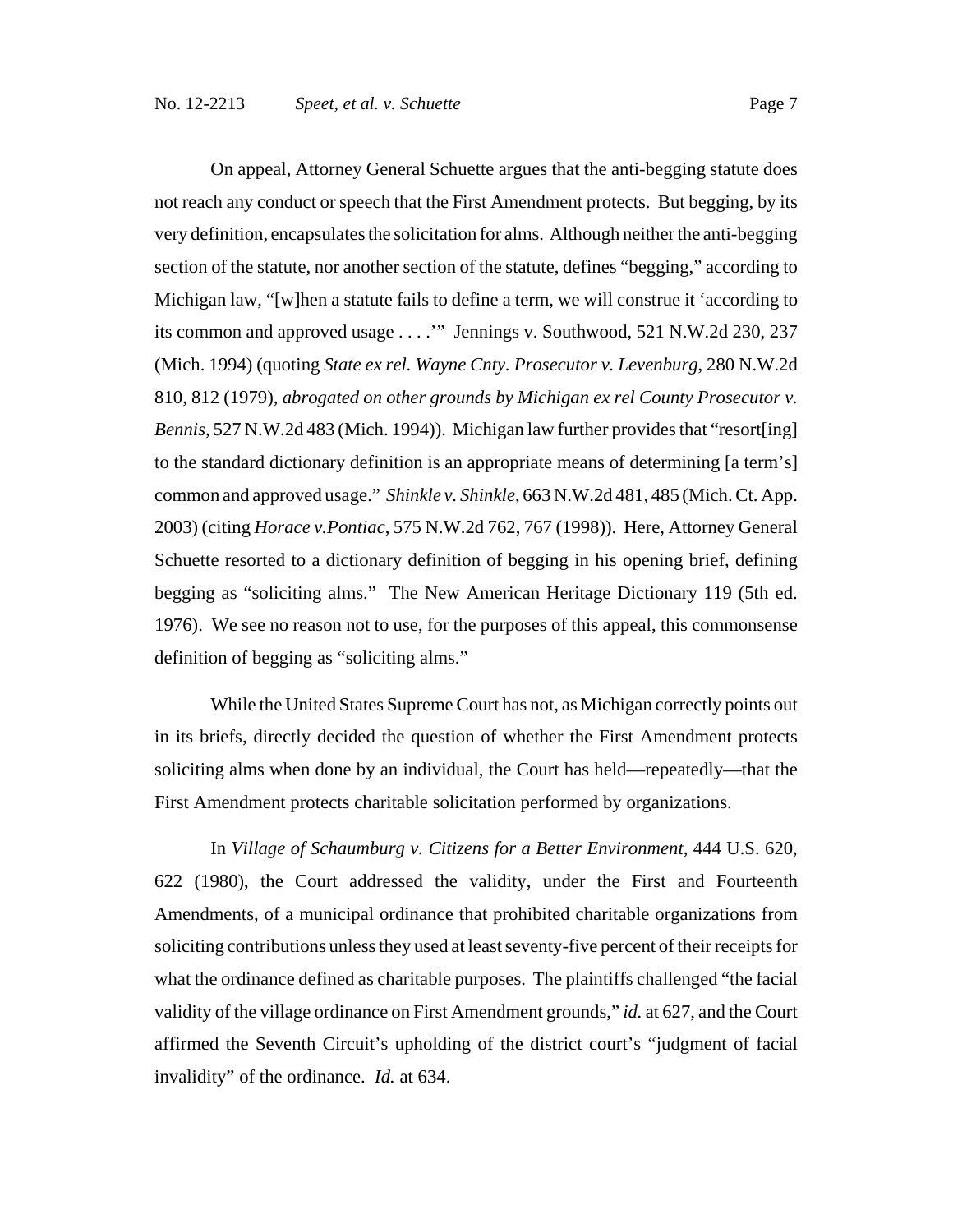On appeal, Attorney General Schuette argues that the anti-begging statute does not reach any conduct or speech that the First Amendment protects. But begging, by its very definition, encapsulates the solicitation for alms. Although neither the anti-begging section of the statute, nor another section of the statute, defines "begging," according to Michigan law, "[w]hen a statute fails to define a term, we will construe it 'according to its common and approved usage . . . .'" Jennings v. Southwood, 521 N.W.2d 230, 237 (Mich. 1994) (quoting *State ex rel. Wayne Cnty. Prosecutor v. Levenburg*, 280 N.W.2d 810, 812 (1979), *abrogated on other grounds by Michigan ex rel County Prosecutor v. Bennis*, 527 N.W.2d 483 (Mich. 1994)). Michigan law further provides that "resort [ing] to the standard dictionary definition is an appropriate means of determining [a term's] common and approved usage." *Shinkle v. Shinkle*, 663 N.W.2d 481, 485 (Mich. Ct. App. 2003) (citing *Horace v.Pontiac*, 575 N.W.2d 762, 767 (1998)). Here, Attorney General Schuette resorted to a dictionary definition of begging in his opening brief, defining begging as "soliciting alms." The New American Heritage Dictionary 119 (5th ed. 1976). We see no reason not to use, for the purposes of this appeal, this commonsense definition of begging as "soliciting alms."

While the United States Supreme Court has not, as Michigan correctly points out in its briefs, directly decided the question of whether the First Amendment protects soliciting alms when done by an individual, the Court has held—repeatedly—that the First Amendment protects charitable solicitation performed by organizations.

In *Village of Schaumburg v. Citizens for a Better Environment*, 444 U.S. 620, 622 (1980), the Court addressed the validity, under the First and Fourteenth Amendments, of a municipal ordinance that prohibited charitable organizations from soliciting contributions unless they used at least seventy-five percent of their receipts for what the ordinance defined as charitable purposes. The plaintiffs challenged "the facial validity of the village ordinance on First Amendment grounds," *id.* at 627, and the Court affirmed the Seventh Circuit's upholding of the district court's "judgment of facial invalidity" of the ordinance. *Id.* at 634.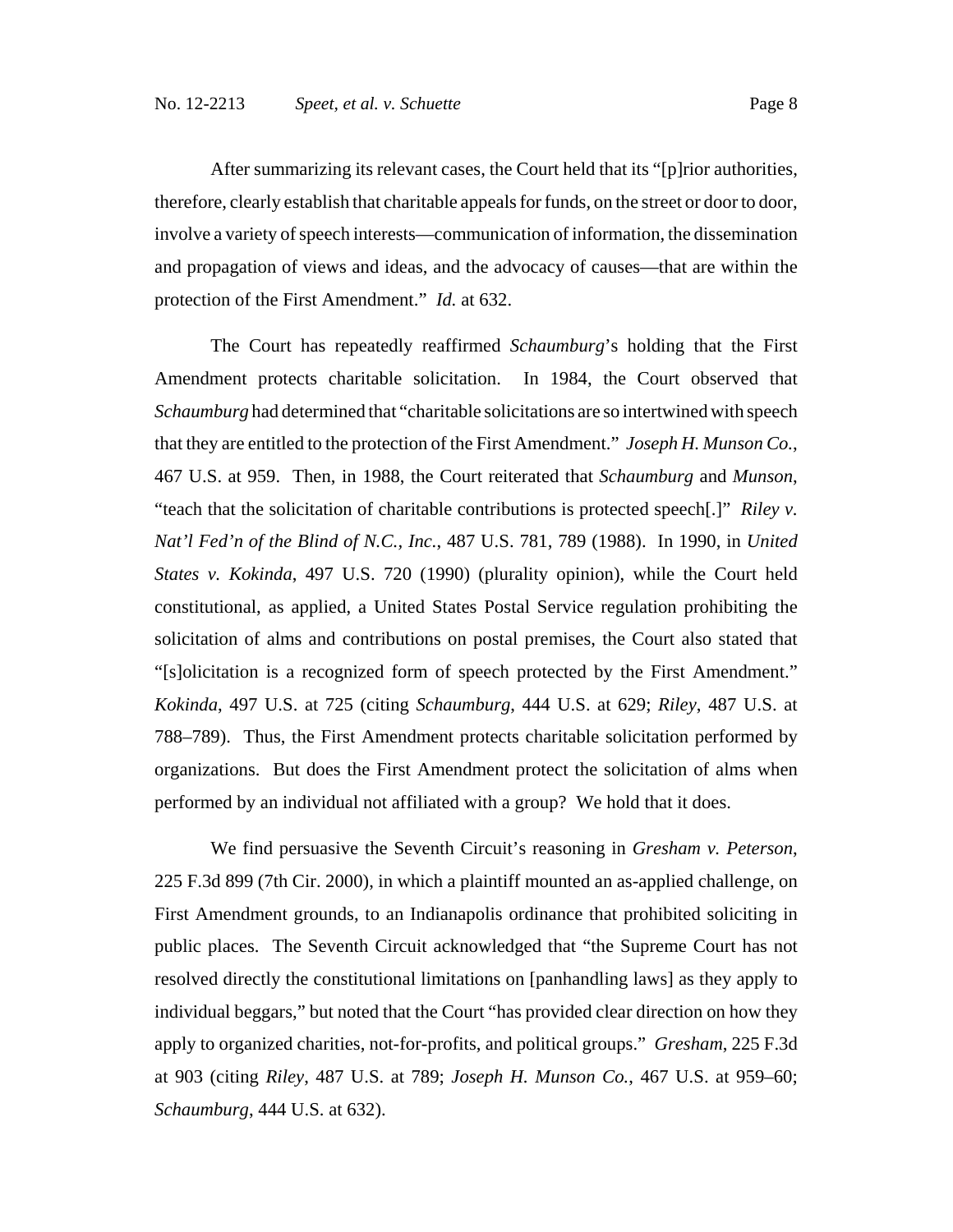After summarizing its relevant cases, the Court held that its "[p]rior authorities, therefore, clearly establish that charitable appeals for funds, on the street or door to door,

involve a variety of speech interests—communication of information, the dissemination and propagation of views and ideas, and the advocacy of causes—that are within the protection of the First Amendment." *Id.* at 632.

The Court has repeatedly reaffirmed *Schaumburg*'s holding that the First Amendment protects charitable solicitation. In 1984, the Court observed that *Schaumburg* had determined that "charitable solicitations are so intertwined with speech that they are entitled to the protection of the First Amendment." *Joseph H. Munson Co.*, 467 U.S. at 959. Then, in 1988, the Court reiterated that *Schaumburg* and *Munson*, "teach that the solicitation of charitable contributions is protected speech[.]" *Riley v. Nat'l Fed'n of the Blind of N.C., Inc.*, 487 U.S. 781, 789 (1988). In 1990, in *United States v. Kokinda*, 497 U.S. 720 (1990) (plurality opinion), while the Court held constitutional, as applied, a United States Postal Service regulation prohibiting the solicitation of alms and contributions on postal premises, the Court also stated that "[s]olicitation is a recognized form of speech protected by the First Amendment." *Kokinda*, 497 U.S. at 725 (citing *Schaumburg*, 444 U.S. at 629; *Riley*, 487 U.S. at 788–789). Thus, the First Amendment protects charitable solicitation performed by organizations. But does the First Amendment protect the solicitation of alms when performed by an individual not affiliated with a group? We hold that it does.

We find persuasive the Seventh Circuit's reasoning in *Gresham v. Peterson*, 225 F.3d 899 (7th Cir. 2000), in which a plaintiff mounted an as-applied challenge, on First Amendment grounds, to an Indianapolis ordinance that prohibited soliciting in public places. The Seventh Circuit acknowledged that "the Supreme Court has not resolved directly the constitutional limitations on [panhandling laws] as they apply to individual beggars," but noted that the Court "has provided clear direction on how they apply to organized charities, not-for-profits, and political groups." *Gresham*, 225 F.3d at 903 (citing *Riley*, 487 U.S. at 789; *Joseph H. Munson Co.*, 467 U.S. at 959–60; *Schaumburg*, 444 U.S. at 632).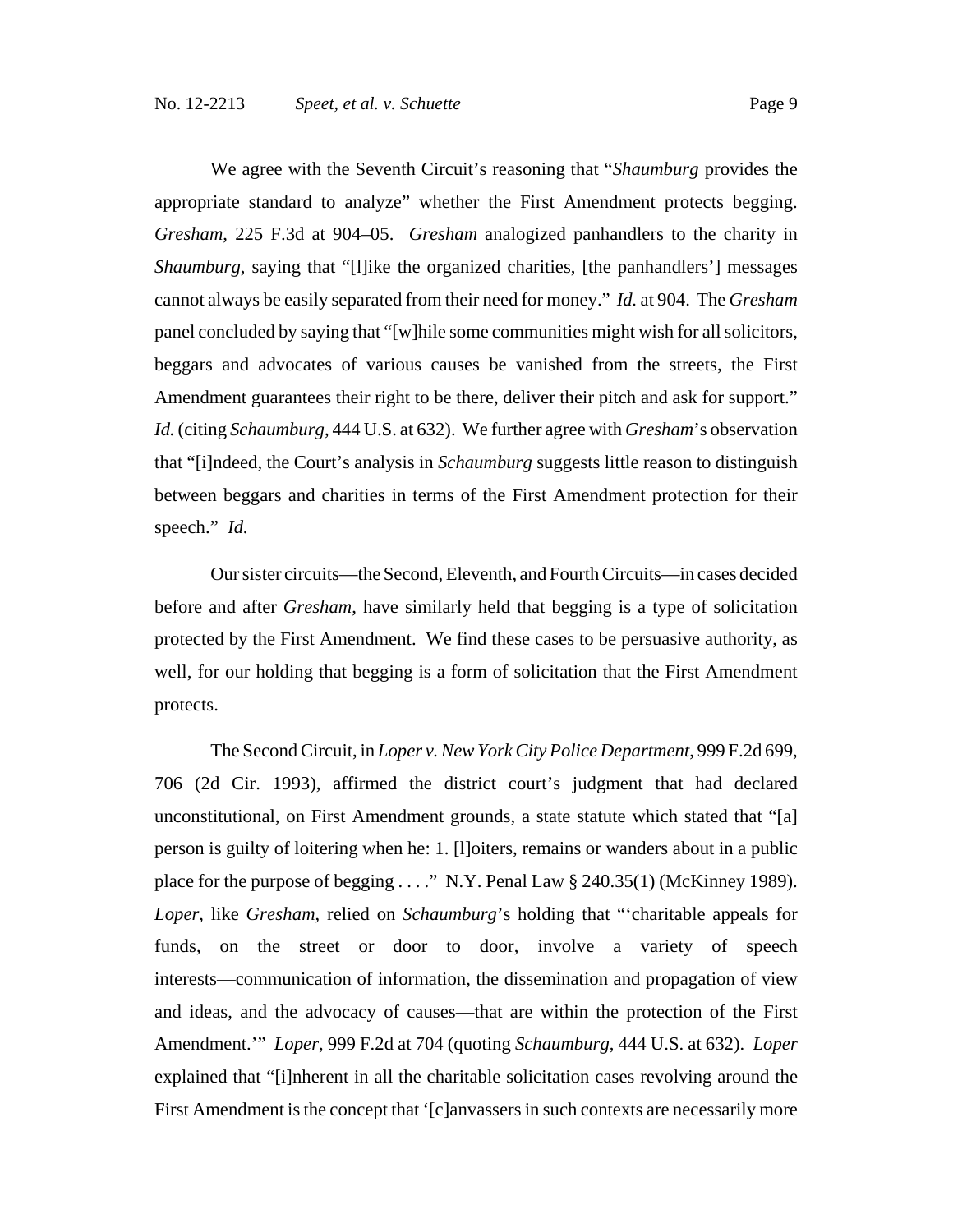We agree with the Seventh Circuit's reasoning that "*Shaumburg* provides the appropriate standard to analyze" whether the First Amendment protects begging. *Gresham*, 225 F.3d at 904–05. *Gresham* analogized panhandlers to the charity in *Shaumburg*, saying that "[l]ike the organized charities, [the panhandlers'] messages cannot always be easily separated from their need for money." *Id.* at 904. The *Gresham* panel concluded by saying that "[w]hile some communities might wish for all solicitors, beggars and advocates of various causes be vanished from the streets, the First Amendment guarantees their right to be there, deliver their pitch and ask for support." *Id.* (citing *Schaumburg*, 444 U.S. at 632). We further agree with *Gresham*'s observation that "[i]ndeed, the Court's analysis in *Schaumburg* suggests little reason to distinguish between beggars and charities in terms of the First Amendment protection for their speech." *Id.*

Our sister circuits—the Second, Eleventh, and Fourth Circuits—in cases decided before and after *Gresham*, have similarly held that begging is a type of solicitation protected by the First Amendment. We find these cases to be persuasive authority, as well, for our holding that begging is a form of solicitation that the First Amendment protects.

The Second Circuit, in *Loper v. New York City Police Department*, 999 F.2d 699, 706 (2d Cir. 1993), affirmed the district court's judgment that had declared unconstitutional, on First Amendment grounds, a state statute which stated that "[a] person is guilty of loitering when he: 1. [l]oiters, remains or wanders about in a public place for the purpose of begging . . . ." N.Y. Penal Law § 240.35(1) (McKinney 1989). *Loper*, like *Gresham*, relied on *Schaumburg*'s holding that "'charitable appeals for funds, on the street or door to door, involve a variety of speech interests—communication of information, the dissemination and propagation of view and ideas, and the advocacy of causes—that are within the protection of the First Amendment.'" *Loper*, 999 F.2d at 704 (quoting *Schaumburg*, 444 U.S. at 632). *Loper* explained that "[i]nherent in all the charitable solicitation cases revolving around the First Amendment is the concept that '[c]anvassers in such contexts are necessarily more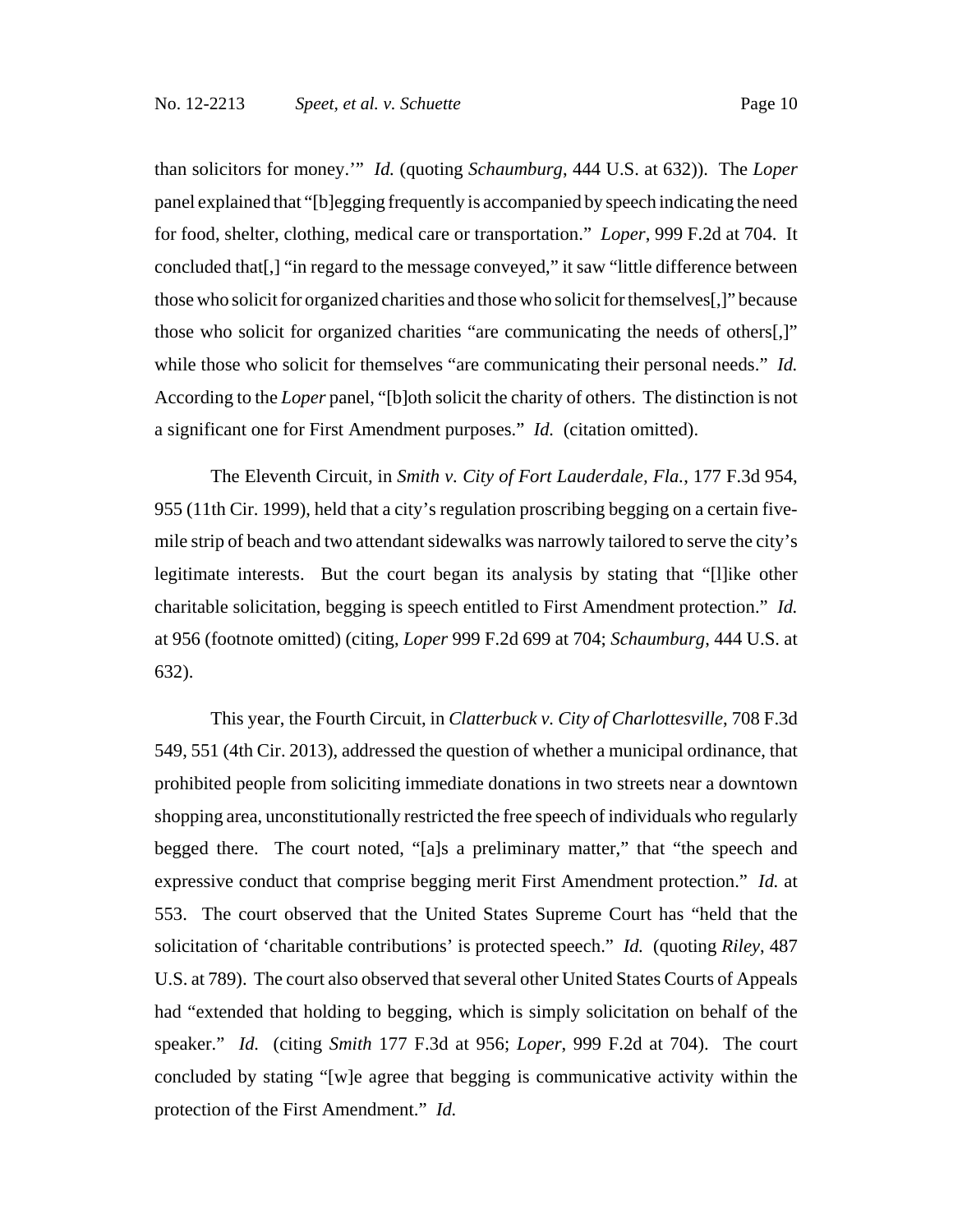than solicitors for money.'" *Id.* (quoting *Schaumburg*, 444 U.S. at 632)). The *Loper* panel explained that "[b]egging frequently is accompanied by speech indicating the need for food, shelter, clothing, medical care or transportation." *Loper*, 999 F.2d at 704.It concluded that[,] "in regard to the message conveyed," it saw "little difference between those who solicit for organized charities and those who solicit for themselves[,]" because those who solicit for organized charities "are communicating the needs of others[,]" while those who solicit for themselves "are communicating their personal needs." *Id.* According to the *Loper* panel, "[b]oth solicit the charity of others. The distinction is not a significant one for First Amendment purposes." *Id.* (citation omitted).

The Eleventh Circuit, in *Smith v. City of Fort Lauderdale, Fla.*, 177 F.3d 954, 955 (11th Cir. 1999), held that a city's regulation proscribing begging on a certain fivemile strip of beach and two attendant sidewalks was narrowly tailored to serve the city's legitimate interests. But the court began its analysis by stating that "[l]ike other charitable solicitation, begging is speech entitled to First Amendment protection." *Id.* at 956 (footnote omitted) (citing, *Loper* 999 F.2d 699 at 704; *Schaumburg*, 444 U.S. at 632).

This year, the Fourth Circuit, in *Clatterbuck v. City of Charlottesville*, 708 F.3d 549, 551 (4th Cir. 2013), addressed the question of whether a municipal ordinance, that prohibited people from soliciting immediate donations in two streets near a downtown shopping area, unconstitutionally restricted the free speech of individuals who regularly begged there. The court noted, "[a]s a preliminary matter," that "the speech and expressive conduct that comprise begging merit First Amendment protection." *Id.* at 553. The court observed that the United States Supreme Court has "held that the solicitation of 'charitable contributions' is protected speech." *Id.* (quoting *Riley*, 487 U.S. at 789). The court also observed that several other United States Courts of Appeals had "extended that holding to begging, which is simply solicitation on behalf of the speaker." *Id.* (citing *Smith* 177 F.3d at 956; *Loper*, 999 F.2d at 704). The court concluded by stating "[w]e agree that begging is communicative activity within the protection of the First Amendment." *Id.*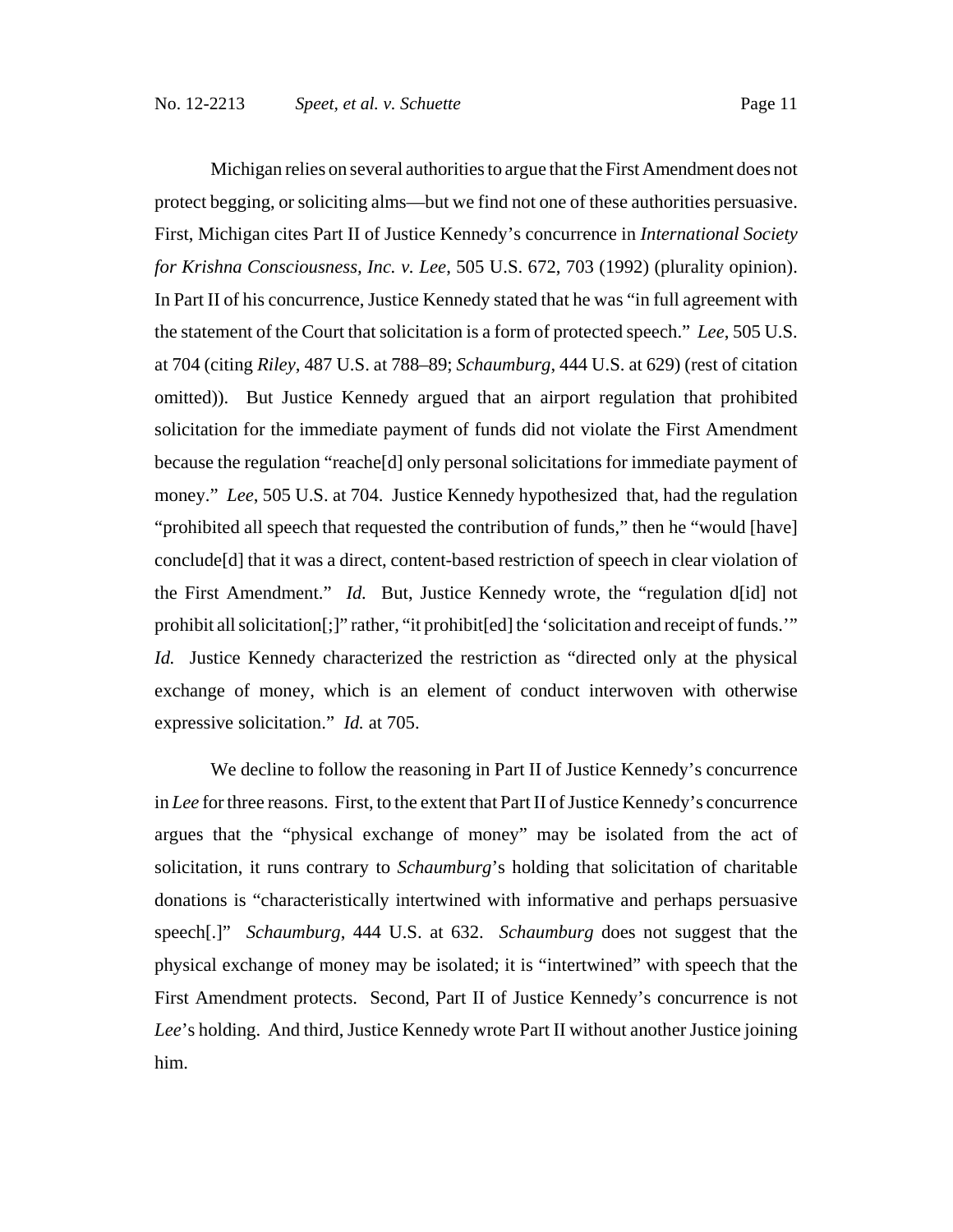Michigan relies on several authorities to argue that the First Amendment does not protect begging, or soliciting alms—but we find not one of these authorities persuasive. First, Michigan cites Part II of Justice Kennedy's concurrence in *International Society for Krishna Consciousness, Inc. v. Lee*, 505 U.S. 672, 703 (1992) (plurality opinion). In Part II of his concurrence, Justice Kennedy stated that he was "in full agreement with the statement of the Court that solicitation is a form of protected speech." *Lee*, 505 U.S. at 704 (citing *Riley*, 487 U.S. at 788–89; *Schaumburg*, 444 U.S. at 629) (rest of citation omitted)). But Justice Kennedy argued that an airport regulation that prohibited solicitation for the immediate payment of funds did not violate the First Amendment because the regulation "reache[d] only personal solicitations for immediate payment of money." *Lee*, 505 U.S. at 704. Justice Kennedy hypothesized that, had the regulation "prohibited all speech that requested the contribution of funds," then he "would [have] conclude[d] that it was a direct, content-based restriction of speech in clear violation of the First Amendment." *Id.* But, Justice Kennedy wrote, the "regulation d[id] not prohibit all solicitation[;]" rather, "it prohibit[ed] the 'solicitation and receipt of funds.'" *Id.* Justice Kennedy characterized the restriction as "directed only at the physical exchange of money, which is an element of conduct interwoven with otherwise expressive solicitation." *Id.* at 705.

We decline to follow the reasoning in Part II of Justice Kennedy's concurrence in *Lee* for three reasons. First, to the extent that Part II of Justice Kennedy's concurrence argues that the "physical exchange of money" may be isolated from the act of solicitation, it runs contrary to *Schaumburg*'s holding that solicitation of charitable donations is "characteristically intertwined with informative and perhaps persuasive speech[.]" *Schaumburg*, 444 U.S. at 632. *Schaumburg* does not suggest that the physical exchange of money may be isolated; it is "intertwined" with speech that the First Amendment protects. Second, Part II of Justice Kennedy's concurrence is not *Lee*'s holding. And third, Justice Kennedy wrote Part II without another Justice joining him.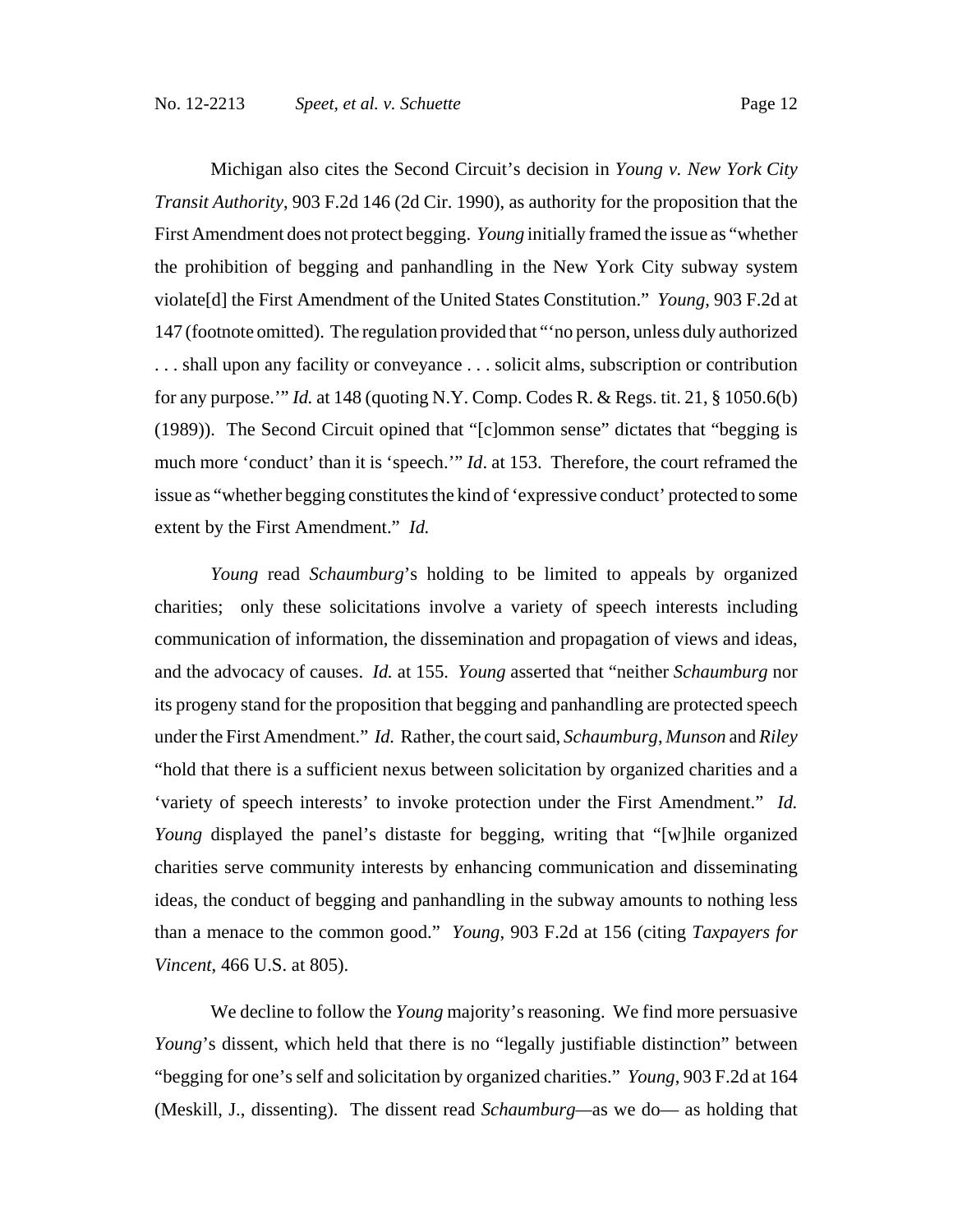Michigan also cites the Second Circuit's decision in *Young v. New York City Transit Authority*, 903 F.2d 146 (2d Cir. 1990), as authority for the proposition that the First Amendment does not protect begging. *Young* initially framed the issue as "whether the prohibition of begging and panhandling in the New York City subway system violate[d] the First Amendment of the United States Constitution." *Young*, 903 F.2d at 147 (footnote omitted). The regulation provided that "'no person, unless duly authorized . . . shall upon any facility or conveyance . . . solicit alms, subscription or contribution for any purpose.'" *Id.* at 148 (quoting N.Y. Comp. Codes R. & Regs. tit. 21, § 1050.6(b) (1989)). The Second Circuit opined that "[c]ommon sense" dictates that "begging is much more 'conduct' than it is 'speech.'" *Id*. at 153. Therefore, the court reframed the issue as "whether begging constitutes the kind of 'expressive conduct' protected to some extent by the First Amendment." *Id.*

*Young* read *Schaumburg*'s holding to be limited to appeals by organized charities; only these solicitations involve a variety of speech interests including communication of information, the dissemination and propagation of views and ideas, and the advocacy of causes. *Id.* at 155. *Young* asserted that "neither *Schaumburg* nor its progeny stand for the proposition that begging and panhandling are protected speech under the First Amendment." *Id.* Rather, the court said, *Schaumburg*, *Munson* and *Riley* "hold that there is a sufficient nexus between solicitation by organized charities and a 'variety of speech interests' to invoke protection under the First Amendment." *Id. Young* displayed the panel's distaste for begging, writing that "[w]hile organized charities serve community interests by enhancing communication and disseminating ideas, the conduct of begging and panhandling in the subway amounts to nothing less than a menace to the common good." *Young*, 903 F.2d at 156 (citing *Taxpayers for Vincent*, 466 U.S. at 805).

We decline to follow the *Young* majority's reasoning. We find more persuasive *Young*'s dissent, which held that there is no "legally justifiable distinction" between "begging for one's self and solicitation by organized charities." *Young*, 903 F.2d at 164 (Meskill, J., dissenting). The dissent read *Schaumburg—*as we do— as holding that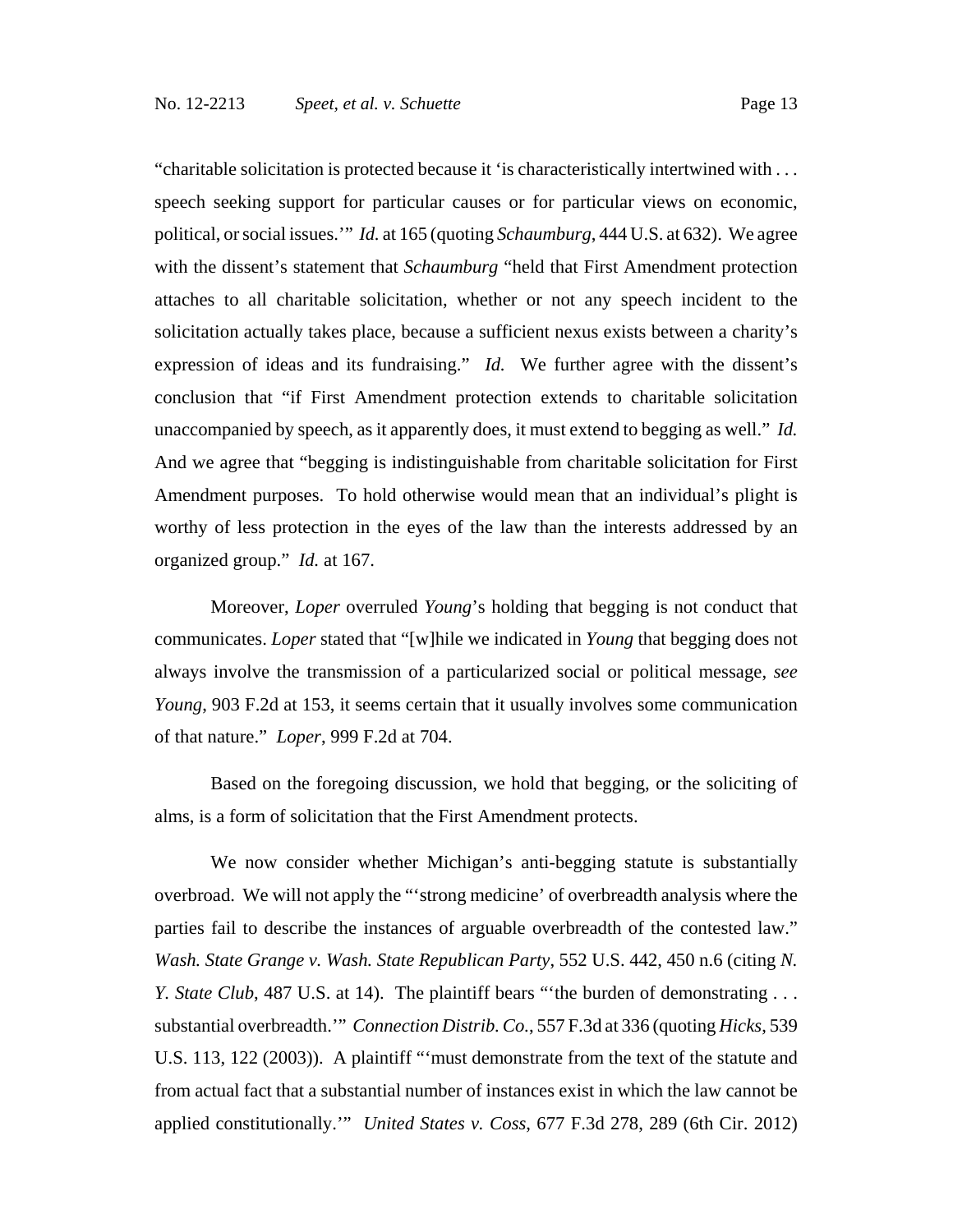"charitable solicitation is protected because it 'is characteristically intertwined with . . . speech seeking support for particular causes or for particular views on economic, political, or social issues.'" *Id.* at 165 (quoting *Schaumburg*, 444 U.S. at 632). We agree with the dissent's statement that *Schaumburg* "held that First Amendment protection attaches to all charitable solicitation, whether or not any speech incident to the solicitation actually takes place, because a sufficient nexus exists between a charity's expression of ideas and its fundraising." *Id.* We further agree with the dissent's conclusion that "if First Amendment protection extends to charitable solicitation unaccompanied by speech, as it apparently does, it must extend to begging as well." *Id.* And we agree that "begging is indistinguishable from charitable solicitation for First Amendment purposes. To hold otherwise would mean that an individual's plight is worthy of less protection in the eyes of the law than the interests addressed by an organized group." *Id.* at 167.

Moreover, *Loper* overruled *Young*'s holding that begging is not conduct that communicates. *Loper* stated that "[w]hile we indicated in *Young* that begging does not always involve the transmission of a particularized social or political message, *see Young*, 903 F.2d at 153, it seems certain that it usually involves some communication of that nature." *Loper*, 999 F.2d at 704.

Based on the foregoing discussion, we hold that begging, or the soliciting of alms, is a form of solicitation that the First Amendment protects.

We now consider whether Michigan's anti-begging statute is substantially overbroad. We will not apply the "'strong medicine' of overbreadth analysis where the parties fail to describe the instances of arguable overbreadth of the contested law." *Wash. State Grange v. Wash. State Republican Party*, 552 U.S. 442, 450 n.6 (citing *N. Y. State Club*, 487 U.S. at 14). The plaintiff bears "the burden of demonstrating . . . substantial overbreadth.'" *Connection Distrib. Co.*, 557 F.3d at 336 (quoting *Hicks*, 539 U.S. 113, 122 (2003)). A plaintiff "'must demonstrate from the text of the statute and from actual fact that a substantial number of instances exist in which the law cannot be applied constitutionally.'" *United States v. Coss*, 677 F.3d 278, 289 (6th Cir. 2012)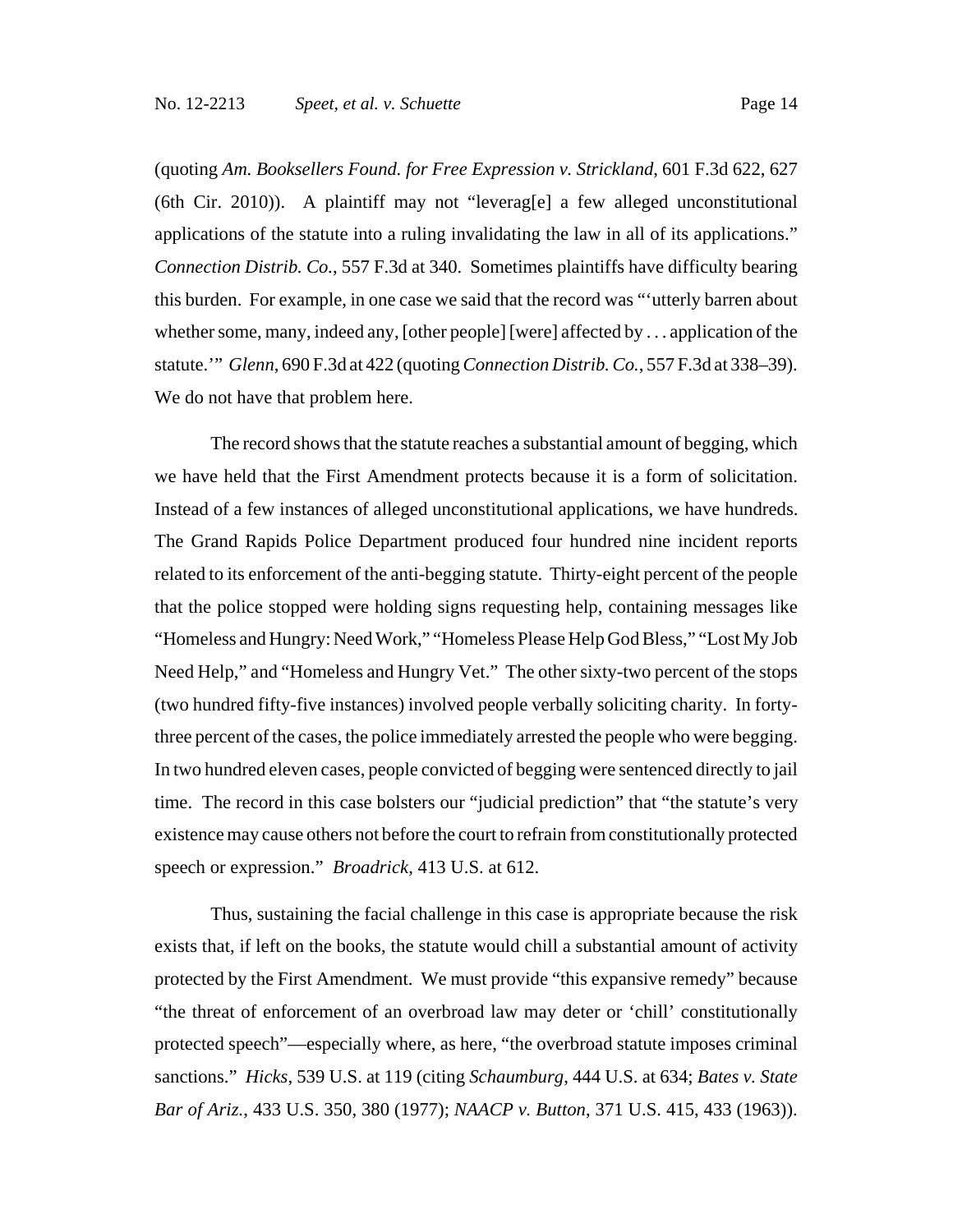(quoting *Am. Booksellers Found. for Free Expression v. Strickland*, 601 F.3d 622, 627 (6th Cir. 2010)). A plaintiff may not "leverag[e] a few alleged unconstitutional applications of the statute into a ruling invalidating the law in all of its applications." *Connection Distrib. Co.*, 557 F.3d at 340. Sometimes plaintiffs have difficulty bearing this burden. For example, in one case we said that the record was "'utterly barren about whether some, many, indeed any, [other people] [were] affected by . . . application of the statute.'" *Glenn*, 690 F.3d at 422 (quoting *Connection Distrib. Co.*, 557 F.3d at 338–39). We do not have that problem here.

The record shows that the statute reaches a substantial amount of begging, which we have held that the First Amendment protects because it is a form of solicitation. Instead of a few instances of alleged unconstitutional applications, we have hundreds. The Grand Rapids Police Department produced four hundred nine incident reports related to its enforcement of the anti-begging statute. Thirty-eight percent of the people that the police stopped were holding signs requesting help, containing messages like "Homeless and Hungry: Need Work," "Homeless Please Help God Bless," "Lost My Job Need Help," and "Homeless and Hungry Vet." The other sixty-two percent of the stops (two hundred fifty-five instances) involved people verbally soliciting charity. In fortythree percent of the cases, the police immediately arrested the people who were begging. In two hundred eleven cases, people convicted of begging were sentenced directly to jail time. The record in this case bolsters our "judicial prediction" that "the statute's very existence may cause others not before the court to refrain from constitutionally protected speech or expression." *Broadrick*, 413 U.S. at 612.

Thus, sustaining the facial challenge in this case is appropriate because the risk exists that, if left on the books, the statute would chill a substantial amount of activity protected by the First Amendment. We must provide "this expansive remedy" because "the threat of enforcement of an overbroad law may deter or 'chill' constitutionally protected speech"—especially where, as here, "the overbroad statute imposes criminal sanctions." *Hicks*, 539 U.S. at 119 (citing *Schaumburg*, 444 U.S. at 634; *Bates v. State Bar of Ariz.*, 433 U.S. 350, 380 (1977); *NAACP v. Button*, 371 U.S. 415, 433 (1963)).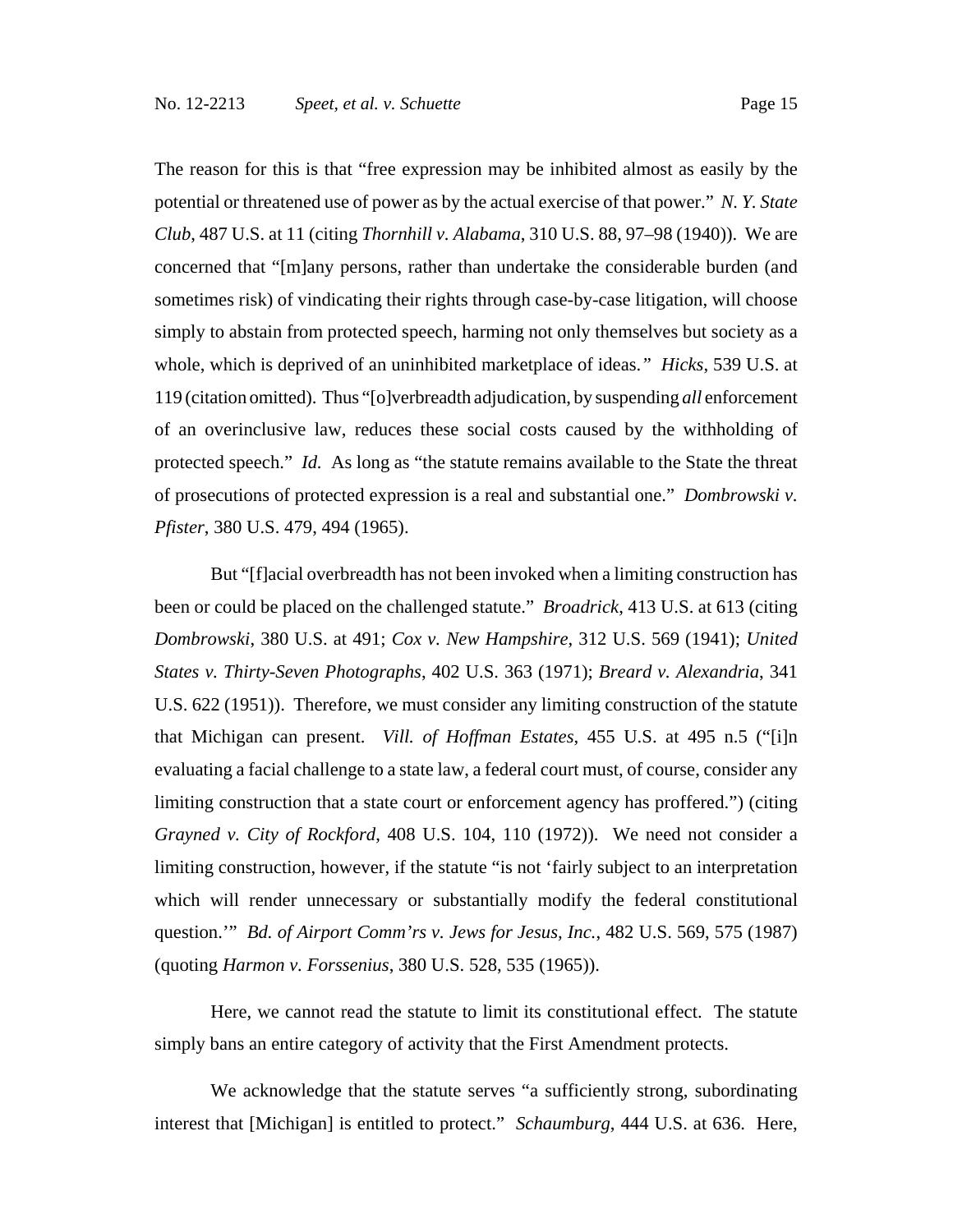The reason for this is that "free expression may be inhibited almost as easily by the potential or threatened use of power as by the actual exercise of that power." *N. Y. State Club*, 487 U.S. at 11 (citing *Thornhill v. Alabama*, 310 U.S. 88, 97–98 (1940)). We are concerned that "[m]any persons, rather than undertake the considerable burden (and sometimes risk) of vindicating their rights through case-by-case litigation, will choose simply to abstain from protected speech, harming not only themselves but society as a whole, which is deprived of an uninhibited marketplace of ideas.*" Hicks*, 539 U.S. at 119 (citation omitted). Thus "[o]verbreadth adjudication, by suspending *all* enforcement of an overinclusive law, reduces these social costs caused by the withholding of protected speech." *Id.* As long as "the statute remains available to the State the threat of prosecutions of protected expression is a real and substantial one." *Dombrowski v. Pfister*, 380 U.S. 479, 494 (1965).

But "[f]acial overbreadth has not been invoked when a limiting construction has been or could be placed on the challenged statute." *Broadrick*, 413 U.S. at 613 (citing *Dombrowski*, 380 U.S. at 491; *Cox v. New Hampshire*, 312 U.S. 569 (1941); *United States v. Thirty-Seven Photographs*, 402 U.S. 363 (1971); *Breard v. Alexandria*, 341 U.S. 622 (1951)). Therefore, we must consider any limiting construction of the statute that Michigan can present. *Vill. of Hoffman Estates*, 455 U.S. at 495 n.5 ("[i]n evaluating a facial challenge to a state law, a federal court must, of course, consider any limiting construction that a state court or enforcement agency has proffered.") (citing *Grayned v. City of Rockford*, 408 U.S. 104, 110 (1972)). We need not consider a limiting construction, however, if the statute "is not 'fairly subject to an interpretation which will render unnecessary or substantially modify the federal constitutional question.'" *Bd. of Airport Comm'rs v. Jews for Jesus, Inc.*, 482 U.S. 569, 575 (1987) (quoting *Harmon v. Forssenius*, 380 U.S. 528, 535 (1965)).

Here, we cannot read the statute to limit its constitutional effect. The statute simply bans an entire category of activity that the First Amendment protects.

We acknowledge that the statute serves "a sufficiently strong, subordinating interest that [Michigan] is entitled to protect." *Schaumburg*, 444 U.S. at 636. Here,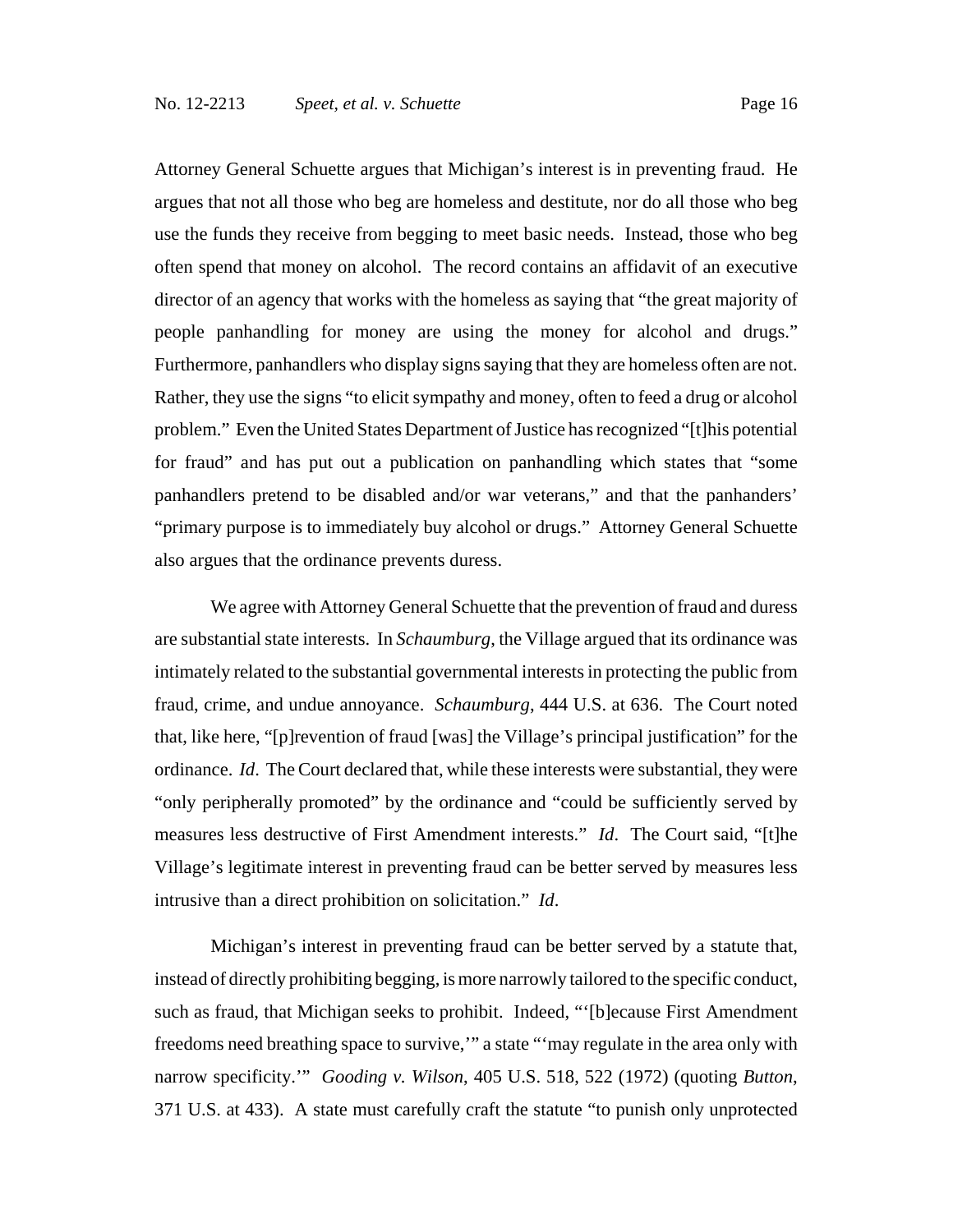Attorney General Schuette argues that Michigan's interest is in preventing fraud. He argues that not all those who beg are homeless and destitute, nor do all those who beg use the funds they receive from begging to meet basic needs. Instead, those who beg often spend that money on alcohol. The record contains an affidavit of an executive director of an agency that works with the homeless as saying that "the great majority of people panhandling for money are using the money for alcohol and drugs." Furthermore, panhandlers who display signs saying that they are homeless often are not. Rather, they use the signs "to elicit sympathy and money, often to feed a drug or alcohol problem." Even the United States Department of Justice has recognized "[t]his potential for fraud" and has put out a publication on panhandling which states that "some panhandlers pretend to be disabled and/or war veterans," and that the panhanders' "primary purpose is to immediately buy alcohol or drugs." Attorney General Schuette also argues that the ordinance prevents duress.

We agree with Attorney General Schuette that the prevention of fraud and duress are substantial state interests. In *Schaumburg*, the Village argued that its ordinance was intimately related to the substantial governmental interests in protecting the public from fraud, crime, and undue annoyance. *Schaumburg*, 444 U.S. at 636. The Court noted that, like here, "[p]revention of fraud [was] the Village's principal justification" for the ordinance. *Id*. The Court declared that, while these interests were substantial, they were "only peripherally promoted" by the ordinance and "could be sufficiently served by measures less destructive of First Amendment interests." *Id*. The Court said, "[t]he Village's legitimate interest in preventing fraud can be better served by measures less intrusive than a direct prohibition on solicitation." *Id*.

Michigan's interest in preventing fraud can be better served by a statute that, instead of directly prohibiting begging, is more narrowly tailored to the specific conduct, such as fraud, that Michigan seeks to prohibit. Indeed, "'[b]ecause First Amendment freedoms need breathing space to survive,'" a state "'may regulate in the area only with narrow specificity.'" *Gooding v. Wilson*, 405 U.S. 518, 522 (1972) (quoting *Button*, 371 U.S. at 433). A state must carefully craft the statute "to punish only unprotected